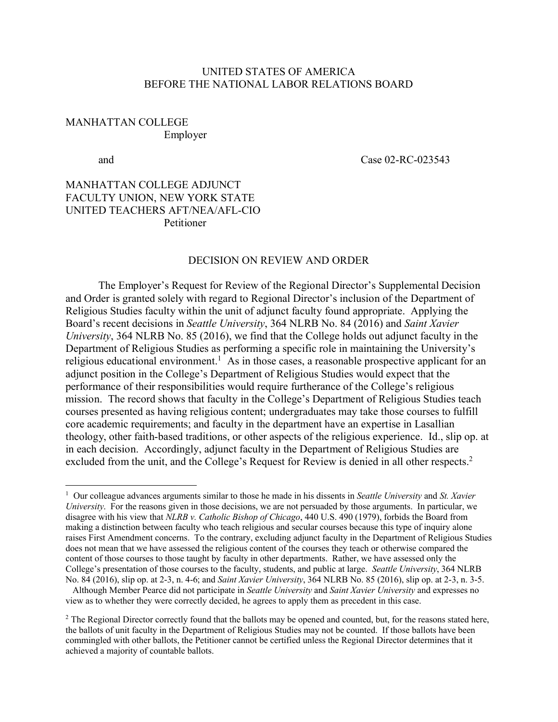## UNITED STATES OF AMERICA BEFORE THE NATIONAL LABOR RELATIONS BOARD

## MANHATTAN COLLEGE Employer

 $\overline{a}$ 

and Case 02-RC-023543

## MANHATTAN COLLEGE ADJUNCT FACULTY UNION, NEW YORK STATE UNITED TEACHERS AFT/NEA/AFL-CIO **Petitioner**

#### DECISION ON REVIEW AND ORDER

The Employer's Request for Review of the Regional Director's Supplemental Decision and Order is granted solely with regard to Regional Director's inclusion of the Department of Religious Studies faculty within the unit of adjunct faculty found appropriate. Applying the Board's recent decisions in *Seattle University*, 364 NLRB No. 84 (2016) and *Saint Xavier University*, 364 NLRB No. 85 (2016), we find that the College holds out adjunct faculty in the Department of Religious Studies as performing a specific role in maintaining the University's religious educational environment.<sup>1</sup> As in those cases, a reasonable prospective applicant for an adjunct position in the College's Department of Religious Studies would expect that the performance of their responsibilities would require furtherance of the College's religious mission. The record shows that faculty in the College's Department of Religious Studies teach courses presented as having religious content; undergraduates may take those courses to fulfill core academic requirements; and faculty in the department have an expertise in Lasallian theology, other faith-based traditions, or other aspects of the religious experience. Id., slip op. at in each decision. Accordingly, adjunct faculty in the Department of Religious Studies are excluded from the unit, and the College's Request for Review is denied in all other respects.<sup>2</sup>

<sup>1</sup> Our colleague advances arguments similar to those he made in his dissents in *Seattle University* and *St. Xavier University*. For the reasons given in those decisions, we are not persuaded by those arguments. In particular, we disagree with his view that *NLRB v. Catholic Bishop of Chicago*, 440 U.S. 490 (1979), forbids the Board from making a distinction between faculty who teach religious and secular courses because this type of inquiry alone raises First Amendment concerns. To the contrary, excluding adjunct faculty in the Department of Religious Studies does not mean that we have assessed the religious content of the courses they teach or otherwise compared the content of those courses to those taught by faculty in other departments. Rather, we have assessed only the College's presentation of those courses to the faculty, students, and public at large. *Seattle University*, 364 NLRB No. 84 (2016), slip op. at 2-3, n. 4-6; and *Saint Xavier University*, 364 NLRB No. 85 (2016), slip op. at 2-3, n. 3-5.

Although Member Pearce did not participate in *Seattle University* and *Saint Xavier University* and expresses no view as to whether they were correctly decided, he agrees to apply them as precedent in this case.

<sup>&</sup>lt;sup>2</sup> The Regional Director correctly found that the ballots may be opened and counted, but, for the reasons stated here, the ballots of unit faculty in the Department of Religious Studies may not be counted. If those ballots have been commingled with other ballots, the Petitioner cannot be certified unless the Regional Director determines that it achieved a majority of countable ballots.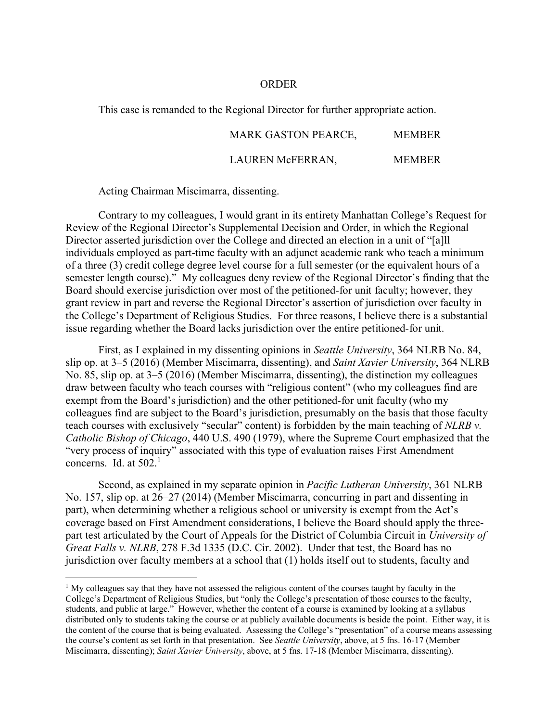#### ORDER

This case is remanded to the Regional Director for further appropriate action.

# MARK GASTON PEARCE, MEMBER

### LAUREN McFERRAN, MEMBER

Acting Chairman Miscimarra, dissenting.

 $\overline{a}$ 

Contrary to my colleagues, I would grant in its entirety Manhattan College's Request for Review of the Regional Director's Supplemental Decision and Order, in which the Regional Director asserted jurisdiction over the College and directed an election in a unit of "[a]ll individuals employed as part-time faculty with an adjunct academic rank who teach a minimum of a three (3) credit college degree level course for a full semester (or the equivalent hours of a semester length course)." My colleagues deny review of the Regional Director's finding that the Board should exercise jurisdiction over most of the petitioned-for unit faculty; however, they grant review in part and reverse the Regional Director's assertion of jurisdiction over faculty in the College's Department of Religious Studies. For three reasons, I believe there is a substantial issue regarding whether the Board lacks jurisdiction over the entire petitioned-for unit.

First, as I explained in my dissenting opinions in *Seattle University*, 364 NLRB No. 84, slip op. at 3–5 (2016) (Member Miscimarra, dissenting), and *Saint Xavier University*, 364 NLRB No. 85, slip op. at 3–5 (2016) (Member Miscimarra, dissenting), the distinction my colleagues draw between faculty who teach courses with "religious content" (who my colleagues find are exempt from the Board's jurisdiction) and the other petitioned-for unit faculty (who my colleagues find are subject to the Board's jurisdiction, presumably on the basis that those faculty teach courses with exclusively "secular" content) is forbidden by the main teaching of *NLRB v. Catholic Bishop of Chicago*, 440 U.S. 490 (1979), where the Supreme Court emphasized that the "very process of inquiry" associated with this type of evaluation raises First Amendment concerns. Id. at  $502<sup>1</sup>$ 

Second, as explained in my separate opinion in *Pacific Lutheran University*, 361 NLRB No. 157, slip op. at 26–27 (2014) (Member Miscimarra, concurring in part and dissenting in part), when determining whether a religious school or university is exempt from the Act's coverage based on First Amendment considerations, I believe the Board should apply the threepart test articulated by the Court of Appeals for the District of Columbia Circuit in *University of Great Falls v. NLRB*, 278 F.3d 1335 (D.C. Cir. 2002). Under that test, the Board has no jurisdiction over faculty members at a school that (1) holds itself out to students, faculty and

<sup>&</sup>lt;sup>1</sup> My colleagues say that they have not assessed the religious content of the courses taught by faculty in the College's Department of Religious Studies, but "only the College's presentation of those courses to the faculty, students, and public at large." However, whether the content of a course is examined by looking at a syllabus distributed only to students taking the course or at publicly available documents is beside the point. Either way, it is the content of the course that is being evaluated. Assessing the College's "presentation" of a course means assessing the course's content as set forth in that presentation. See *Seattle University*, above, at 5 fns. 16-17 (Member Miscimarra, dissenting); *Saint Xavier University*, above, at 5 fns. 17-18 (Member Miscimarra, dissenting).